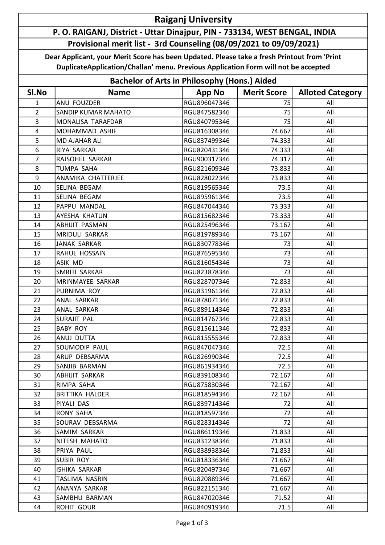## Raiganj University P. O. RAIGANJ, District - Uttar Dinajpur, PIN - 733134, WEST BENGAL, INDIA

## Provisional merit list - 3rd Counseling (08/09/2021 to 09/09/2021)

Dear Applicant, your Merit Score has been Updated. Please take a fresh Printout from 'Print DuplicateApplication/Challan' menu. Previous Application Form will not be accepted

| <b>Bachelor of Arts in Philosophy (Hons.) Aided</b> |                            |               |                    |                         |  |  |  |
|-----------------------------------------------------|----------------------------|---------------|--------------------|-------------------------|--|--|--|
| SI.No                                               | <b>Name</b>                | <b>App No</b> | <b>Merit Score</b> | <b>Alloted Category</b> |  |  |  |
| $\mathbf{1}$                                        | ANU FOUZDER                | RGU896047346  | 75                 | All                     |  |  |  |
| $\overline{2}$                                      | <b>SANDIP KUMAR MAHATO</b> | RGU847582346  | 75                 | All                     |  |  |  |
| 3                                                   | MONALISA TARAFDAR          | RGU840795346  | 75                 | All                     |  |  |  |
| $\overline{\mathbf{4}}$                             | MOHAMMAD ASHIF             | RGU816308346  | 74.667             | All                     |  |  |  |
| 5                                                   | MD AJAHAR ALI              | RGU837499346  | 74.333             | All                     |  |  |  |
| 6                                                   | RIYA SARKAR                | RGU820431346  | 74.333             | All                     |  |  |  |
| $\overline{7}$                                      | RAJSOHEL SARKAR            | RGU900317346  | 74.317             | All                     |  |  |  |
| 8                                                   | <b>TUMPA SAHA</b>          | RGU821609346  | 73.833             | All                     |  |  |  |
| 9                                                   | ANAMIKA CHATTERJEE         | RGU828022346  | 73.833             | All                     |  |  |  |
| 10                                                  | SELINA BEGAM               | RGU819565346  | 73.5               | All                     |  |  |  |
| 11                                                  | SELINA BEGAM               | RGU895961346  | 73.5               | All                     |  |  |  |
| 12                                                  | PAPPU MANDAL               | RGU847044346  | 73.333             | All                     |  |  |  |
| 13                                                  | AYESHA KHATUN              | RGU815682346  | 73.333             | All                     |  |  |  |
| 14                                                  | <b>ABHIJIT PASMAN</b>      | RGU825496346  | 73.167             | All                     |  |  |  |
| 15                                                  | MRIDULI SARKAR             | RGU819789346  | 73.167             | All                     |  |  |  |
| 16                                                  | <b>JANAK SARKAR</b>        | RGU830778346  | 73                 | All                     |  |  |  |
| 17                                                  | RAHUL HOSSAIN              | RGU876595346  | 73                 | All                     |  |  |  |
| 18                                                  | ASIK MD                    | RGU816054346  | 73                 | All                     |  |  |  |
| 19                                                  | SMRITI SARKAR              | RGU823878346  | 73                 | All                     |  |  |  |
| 20                                                  | MRINMAYEE SARKAR           | RGU828707346  | 72.833             | All                     |  |  |  |
| 21                                                  | PURNIMA ROY                | RGU831961346  | 72.833             | All                     |  |  |  |
| 22                                                  | ANAL SARKAR                | RGU878071346  | 72.833             | All                     |  |  |  |
| 23                                                  | ANAL SARKAR                | RGU889114346  | 72.833             | All                     |  |  |  |
| 24                                                  | <b>SURAJIT PAL</b>         | RGU814767346  | 72.833             | All                     |  |  |  |
| 25                                                  | <b>BABY ROY</b>            | RGU815611346  | 72.833             | All                     |  |  |  |
| 26                                                  | ANUJ DUTTA                 | RGU815555346  | 72.833             | All                     |  |  |  |
| 27                                                  | <b>SOUMODIP PAUL</b>       | RGU847047346  | 72.5               | All                     |  |  |  |
| 28                                                  | ARUP DEBSARMA              | RGU826990346  | 72.5               | All                     |  |  |  |
| 29                                                  | SANJIB BARMAN              | RGU861934346  | 72.5               | All                     |  |  |  |
| 30                                                  | ABHIJIT SARKAR             | RGU839108346  | 72.167             | All                     |  |  |  |
| 31                                                  | RIMPA SAHA                 | RGU875830346  | 72.167             | All                     |  |  |  |
| 32                                                  | BRITTIKA HALDER            | RGU818594346  | 72.167             | All                     |  |  |  |
| 33                                                  | PIYALI DAS                 | RGU839714346  | 72                 | All                     |  |  |  |
| 34                                                  | <b>RONY SAHA</b>           | RGU818597346  | 72                 | All                     |  |  |  |
| 35                                                  | SOURAV DEBSARMA            | RGU828314346  | 72                 | All                     |  |  |  |
| 36                                                  | SAMIM SARKAR               | RGU886119346  | 71.833             | All                     |  |  |  |
| 37                                                  | NITESH MAHATO              | RGU831238346  | 71.833             | All                     |  |  |  |
| 38                                                  | PRIYA PAUL                 | RGU838938346  | 71.833             | All                     |  |  |  |
| 39                                                  | SUBIR ROY                  | RGU818336346  | 71.667             | All                     |  |  |  |
| 40                                                  | ISHIKA SARKAR              | RGU820497346  | 71.667             | All                     |  |  |  |
| 41                                                  | TASLIMA NASRIN             | RGU820889346  | 71.667             | All                     |  |  |  |
| 42                                                  | ANANYA SARKAR              | RGU822151346  | 71.667             | All                     |  |  |  |
| 43                                                  | SAMBHU BARMAN              | RGU847020346  | 71.52              | All                     |  |  |  |
| 44                                                  | ROHIT GOUR                 | RGU840919346  | 71.5               | All                     |  |  |  |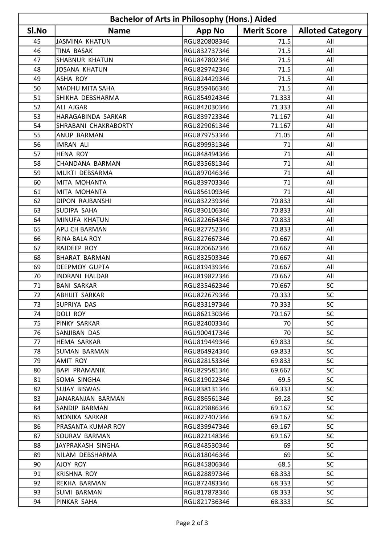| <b>Bachelor of Arts in Philosophy (Hons.) Aided</b> |                        |               |                    |                         |  |  |  |
|-----------------------------------------------------|------------------------|---------------|--------------------|-------------------------|--|--|--|
| SI.No                                               | <b>Name</b>            | <b>App No</b> | <b>Merit Score</b> | <b>Alloted Category</b> |  |  |  |
| 45                                                  | <b>JASMINA KHATUN</b>  | RGU820808346  | 71.5               | All                     |  |  |  |
| 46                                                  | <b>TINA BASAK</b>      | RGU832737346  | 71.5               | All                     |  |  |  |
| 47                                                  | <b>SHABNUR KHATUN</b>  | RGU847802346  | 71.5               | All                     |  |  |  |
| 48                                                  | JOSANA KHATUN          | RGU829742346  | 71.5               | All                     |  |  |  |
| 49                                                  | <b>ASHA ROY</b>        | RGU824429346  | 71.5               | All                     |  |  |  |
| 50                                                  | <b>MADHU MITA SAHA</b> | RGU859466346  | 71.5               | All                     |  |  |  |
| 51                                                  | SHIKHA DEBSHARMA       | RGU854924346  | 71.333             | All                     |  |  |  |
| 52                                                  | ALI AJGAR              | RGU842030346  | 71.333             | All                     |  |  |  |
| 53                                                  | HARAGABINDA SARKAR     | RGU839723346  | 71.167             | All                     |  |  |  |
| 54                                                  | SHRABANI CHAKRABORTY   | RGU829061346  | 71.167             | All                     |  |  |  |
| 55                                                  | <b>ANUP BARMAN</b>     | RGU879753346  | 71.05              | All                     |  |  |  |
| 56                                                  | <b>IMRAN ALI</b>       | RGU899931346  | 71                 | All                     |  |  |  |
| 57                                                  | <b>HENA ROY</b>        | RGU848494346  | 71                 | All                     |  |  |  |
| 58                                                  | CHANDANA BARMAN        | RGU835681346  | 71                 | All                     |  |  |  |
| 59                                                  | MUKTI DEBSARMA         | RGU897046346  | 71                 | All                     |  |  |  |
| 60                                                  | MITA MOHANTA           | RGU839703346  | 71                 | All                     |  |  |  |
| 61                                                  | MITA MOHANTA           | RGU856109346  | 71                 | All                     |  |  |  |
| 62                                                  | <b>DIPON RAJBANSHI</b> | RGU832239346  | 70.833             | All                     |  |  |  |
| 63                                                  | SUDIPA SAHA            | RGU830106346  | 70.833             | All                     |  |  |  |
| 64                                                  | MINUFA KHATUN          | RGU822664346  | 70.833             | All                     |  |  |  |
| 65                                                  | <b>APU CH BARMAN</b>   | RGU827752346  | 70.833             | All                     |  |  |  |
| 66                                                  | RINA BALA ROY          | RGU827667346  | 70.667             | All                     |  |  |  |
| 67                                                  | RAJDEEP ROY            | RGU820662346  | 70.667             | All                     |  |  |  |
| 68                                                  | <b>BHARAT BARMAN</b>   | RGU832503346  | 70.667             | All                     |  |  |  |
| 69                                                  | <b>DEEPMOY GUPTA</b>   | RGU819439346  | 70.667             | All                     |  |  |  |
| 70                                                  | INDRANI HALDAR         | RGU819822346  | 70.667             | All                     |  |  |  |
| 71                                                  | <b>BANI SARKAR</b>     | RGU835462346  | 70.667             | <b>SC</b>               |  |  |  |
| 72                                                  | <b>ABHIJIT SARKAR</b>  | RGU822679346  | 70.333             | SC                      |  |  |  |
| 73                                                  | SUPRIYA DAS            | RGU833197346  | 70.333             | SC.                     |  |  |  |
| 74                                                  | <b>DOLI ROY</b>        | RGU862130346  | 70.167             | <b>SC</b>               |  |  |  |
| 75                                                  | PINKY SARKAR           | RGU824003346  | 70                 | <b>SC</b>               |  |  |  |
| 76                                                  | SANJIBAN DAS           | RGU900417346  | 70                 | <b>SC</b>               |  |  |  |
| 77                                                  | <b>HEMA SARKAR</b>     | RGU819449346  | 69.833             | <b>SC</b>               |  |  |  |
| 78                                                  | SUMAN BARMAN           | RGU864924346  | 69.833             | <b>SC</b>               |  |  |  |
| 79                                                  | <b>AMIT ROY</b>        | RGU828153346  | 69.833             | <b>SC</b>               |  |  |  |
| 80                                                  | <b>BAPI PRAMANIK</b>   | RGU829581346  | 69.667             | <b>SC</b>               |  |  |  |
| 81                                                  | SOMA SINGHA            | RGU819022346  | 69.5               | <b>SC</b>               |  |  |  |
| 82                                                  | SUJAY BISWAS           | RGU838131346  | 69.333             | <b>SC</b>               |  |  |  |
| 83                                                  | JANARANJAN BARMAN      | RGU886561346  | 69.28              | <b>SC</b>               |  |  |  |
| 84                                                  | SANDIP BARMAN          | RGU829886346  | 69.167             | <b>SC</b>               |  |  |  |
| 85                                                  | MONIKA SARKAR          | RGU827407346  | 69.167             | <b>SC</b>               |  |  |  |
| 86                                                  | PRASANTA KUMAR ROY     | RGU839947346  | 69.167             | <b>SC</b>               |  |  |  |
| 87                                                  | SOURAV BARMAN          | RGU822148346  | 69.167             | <b>SC</b>               |  |  |  |
| 88                                                  | JAYPRAKASH SINGHA      | RGU848530346  | 69                 | <b>SC</b>               |  |  |  |
| 89                                                  | NILAM DEBSHARMA        | RGU818046346  | 69                 | <b>SC</b>               |  |  |  |
| 90                                                  | AJOY ROY               | RGU845806346  | 68.5               | <b>SC</b>               |  |  |  |
| 91                                                  | <b>KRISHNA ROY</b>     | RGU828897346  | 68.333             | <b>SC</b>               |  |  |  |
| 92                                                  | REKHA BARMAN           | RGU872483346  | 68.333             | <b>SC</b>               |  |  |  |
| 93                                                  | <b>SUMI BARMAN</b>     | RGU817878346  | 68.333             | <b>SC</b>               |  |  |  |
| 94                                                  | PINKAR SAHA            | RGU821736346  | 68.333             | <b>SC</b>               |  |  |  |